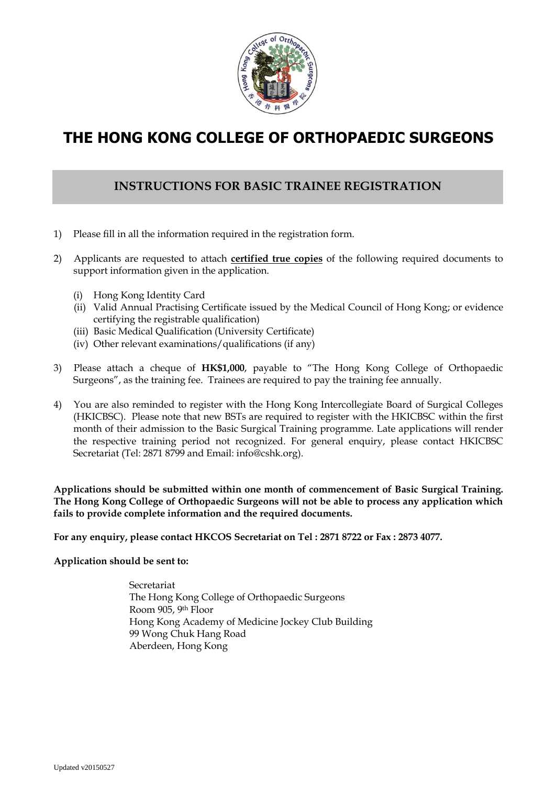

# **THE HONG KONG COLLEGE OF ORTHOPAEDIC SURGEONS**

## **INSTRUCTIONS FOR BASIC TRAINEE REGISTRATION**

- 1) Please fill in all the information required in the registration form.
- 2) Applicants are requested to attach **certified true copies** of the following required documents to support information given in the application.
	- (i) Hong Kong Identity Card
	- (ii) Valid Annual Practising Certificate issued by the Medical Council of Hong Kong; or evidence certifying the registrable qualification)
	- (iii) Basic Medical Qualification (University Certificate)
	- (iv) Other relevant examinations/qualifications (if any)
- 3) Please attach a cheque of **HK\$1,000**, payable to "The Hong Kong College of Orthopaedic Surgeons", as the training fee. Trainees are required to pay the training fee annually.
- 4) You are also reminded to register with the Hong Kong Intercollegiate Board of Surgical Colleges (HKICBSC). Please note that new BSTs are required to register with the HKICBSC within the first month of their admission to the Basic Surgical Training programme. Late applications will render the respective training period not recognized. For general enquiry, please contact HKICBSC Secretariat (Tel: 2871 8799 and Email: info@cshk.org).

**Applications should be submitted within one month of commencement of Basic Surgical Training. The Hong Kong College of Orthopaedic Surgeons will not be able to process any application which fails to provide complete information and the required documents.** 

**For any enquiry, please contact HKCOS Secretariat on Tel : 2871 8722 or Fax : 2873 4077.** 

**Application should be sent to:**

Secretariat The Hong Kong College of Orthopaedic Surgeons Room 905, 9th Floor Hong Kong Academy of Medicine Jockey Club Building 99 Wong Chuk Hang Road Aberdeen, Hong Kong